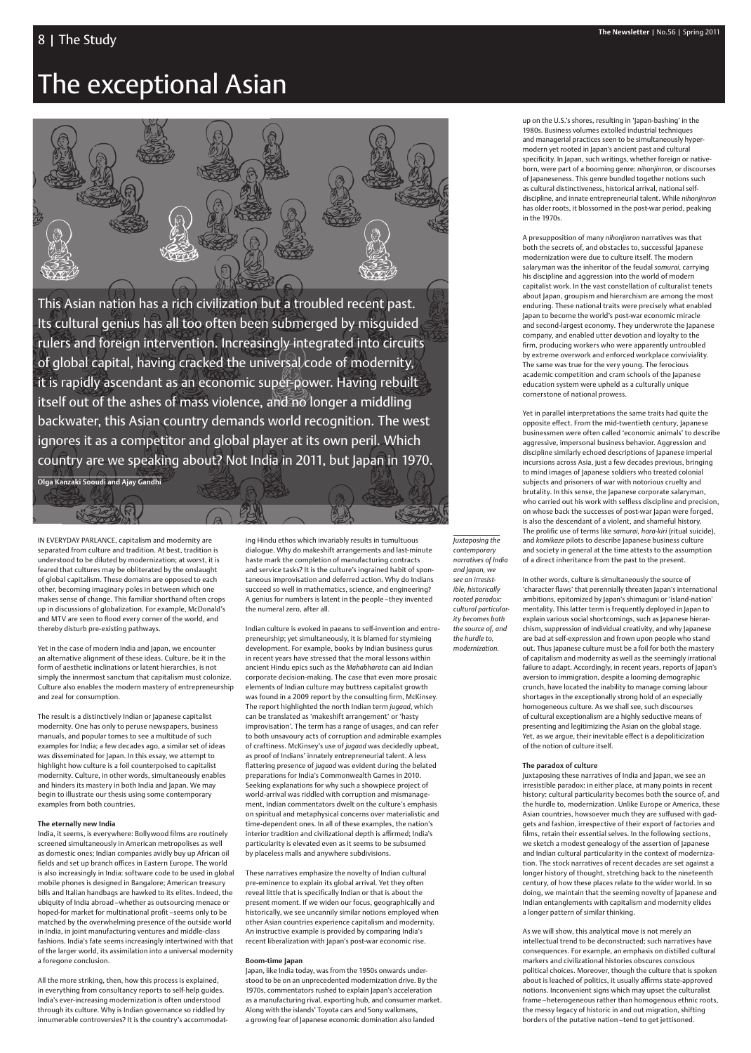# The exceptional Asian



This Asian nation has a rich civilization but a troubled recent past. Its cultural genius has all too often been submerged by misguided rulers and foreign intervention. Increasingly integrated into circuits of global capital, having cracked the universal code of modernity, it is rapidly ascendant as an economic super-power. Having rebuilt itself out of the ashes of mass violence, and no longer a middling backwater, this Asian country demands world recognition. The west ignores it as a competitor and global player at its own peril. Which country are we speaking about? Not India in 2011, but Japan in 1970.

**Olga Kanzaki Sooudi and Ajay Gandhi**

ing Hindu ethos which invariably results in tumultuous dialogue. Why do makeshift arrangements and last-minute haste mark the completion of manufacturing contracts and service tasks? It is the culture's ingrained habit of spontaneous improvisation and deferred action. Why do Indians succeed so well in mathematics, science, and engineering? A genius for numbers is latent in the people – they invented the numeral zero, after all.

Indian culture is evoked in paeans to self-invention and entrepreneurship; yet simultaneously, it is blamed for stymieing development. For example, books by Indian business gurus in recent years have stressed that the moral lessons within ancient Hindu epics such as the *Mahabharata* can aid Indian corporate decision-making. The case that even more prosaic elements of Indian culture may buttress capitalist growth was found in a 2009 report by the consulting firm, McKinsey. The report highlighted the north Indian term *jugaad*, which can be translated as 'makeshift arrangement' or 'hasty improvisation'. The term has a range of usages, and can refer to both unsavoury acts of corruption and admirable examples of craftiness. McKinsey's use of *jugaad* was decidedly upbeat, as proof of Indians' innately entrepreneurial talent. A less flattering presence of *jugaad* was evident during the belated preparations for India's Commonwealth Games in 2010. Seeking explanations for why such a showpiece project of world-arrival was riddled with corruption and mismanagement, Indian commentators dwelt on the culture's emphasis on spiritual and metaphysical concerns over materialistic and time-dependent ones. In all of these examples, the nation's interior tradition and civilizational depth is affirmed; India's particularity is elevated even as it seems to be subsumed by placeless malls and anywhere subdivisions.

These narratives emphasize the novelty of Indian cultural pre-eminence to explain its global arrival. Yet they often reveal little that is specifically Indian or that is about the present moment. If we widen our focus, geographically and historically, we see uncannily similar notions employed when other Asian countries experience capitalism and modernity. An instructive example is provided by comparing India's recent liberalization with Japan's post-war economic rise.

#### **Boom-time Japan**

Japan, like India today, was from the 1950s onwards understood to be on an unprecedented modernization drive. By the 1970s, commentators rushed to explain Japan's acceleration as a manufacturing rival, exporting hub, and consumer market. Along with the islands' Toyota cars and Sony walkmans, a growing fear of Japanese economic domination also landed

up on the U.S.'s shores, resulting in 'Japan-bashing' in the 1980s. Business volumes extolled industrial techniques and managerial practices seen to be simultaneously hypermodern yet rooted in Japan's ancient past and cultural specificity. In Japan, such writings, whether foreign or nativeborn, were part of a booming genre: *nihonjinron*, or discourses of Japaneseness. This genre bundled together notions such as cultural distinctiveness, historical arrival, national selfdiscipline, and innate entrepreneurial talent. While *nihonjinron* has older roots, it blossomed in the post-war period, peaking in the 1970s.

A presupposition of many *nihonjinron* narratives was that both the secrets of, and obstacles to, successful Japanese modernization were due to culture itself. The modern salaryman was the inheritor of the feudal *samurai*, carrying his discipline and aggression into the world of modern capitalist work. In the vast constellation of culturalist tenets about Japan, groupism and hierarchism are among the most enduring. These national traits were precisely what enabled Japan to become the world's post-war economic miracle and second-largest economy. They underwrote the Japanese company, and enabled utter devotion and loyalty to the firm, producing workers who were apparently untroubled by extreme overwork and enforced workplace conviviality. The same was true for the very young. The ferocious academic competition and cram schools of the Japanese education system were upheld as a culturally unique cornerstone of national prowess.

India, it seems, is everywhere: Bollywood films are routinely screened simultaneously in American metropolises as well as domestic ones; Indian companies avidly buy up African oil fields and set up branch offices in Eastern Europe. The world is also increasingly in India: software code to be used in global mobile phones is designed in Bangalore; American treasury bills and Italian handbags are hawked to its elites. Indeed, the ubiquity of India abroad – whether as outsourcing menace or hoped-for market for multinational profit-seems only to be matched by the overwhelming presence of the outside world in India, in joint manufacturing ventures and middle-class fashions. India's fate seems increasingly intertwined with that of the larger world, its assimilation into a universal modernity a foregone conclusion.

Yet in parallel interpretations the same traits had quite the opposite effect. From the mid-twentieth century, Japanese businessmen were often called 'economic animals' to describe aggressive, impersonal business behavior. Aggression and discipline similarly echoed descriptions of Japanese imperial incursions across Asia, just a few decades previous, bringing to mind images of Japanese soldiers who treated colonial subjects and prisoners of war with notorious cruelty and brutality. In this sense, the Japanese corporate salaryman, who carried out his work with selfless discipline and precision, on whose back the successes of post-war Japan were forged, is also the descendant of a violent, and shameful history. The prolific use of terms like *samurai*, hara-kiri (ritual suicide), and *kamikaze* pilots to describe Japanese business culture and society in general at the time attests to the assumption of a direct inheritance from the past to the present.

In other words, culture is simultaneously the source of 'character flaws' that perennially threaten Japan's international ambitions, epitomized by Japan's shimaguni or 'island-nation' mentality. This latter term is frequently deployed in Japan to explain various social shortcomings, such as Japanese hierarchism, suppression of individual creativity, and why Japanese are bad at self-expression and frown upon people who stand out. Thus Japanese culture must be a foil for both the mastery of capitalism and modernity as well as the seemingly irrational failure to adapt. Accordingly, in recent years, reports of Japan's aversion to immigration, despite a looming demographic crunch, have located the inability to manage coming labour shortages in the exceptionally strong hold of an especially homogeneous culture. As we shall see, such discourses of cultural exceptionalism are a highly seductive means of presenting and legitimizing the Asian on the global stage. Yet, as we argue, their inevitable effect is a depoliticization of the notion of culture itself.

#### **The paradox of culture**

Juxtaposing these narratives of India and Japan, we see an irresistible paradox: in either place, at many points in recent history: cultural particularity becomes both the source of, and the hurdle to, modernization. Unlike Europe or America, these Asian countries, howsoever much they are suffused with gadgets and fashion, irrespective of their export of factories and films, retain their essential selves. In the following sections, we sketch a modest genealogy of the assertion of Japanese and Indian cultural particularity in the context of modernization. The stock narratives of recent decades are set against a longer history of thought, stretching back to the nineteenth century, of how these places relate to the wider world. In so doing, we maintain that the seeming novelty of Japanese and Indian entanglements with capitalism and modernity elides a longer pattern of similar thinking.

As we will show, this analytical move is not merely an intellectual trend to be deconstructed; such narratives have consequences. For example, an emphasis on distilled cultural markers and civilizational histories obscures conscious political choices. Moreover, though the culture that is spoken about is leached of politics, it usually affirms state-approved notions. Inconvenient signs which may upset the culturalist frame – heterogeneous rather than homogenous ethnic roots, the messy legacy of historic in and out migration, shifting borders of the putative nation – tend to get jettisoned.

IN EVERYDAY PARLANCE, capitalism and modernity are separated from culture and tradition. At best, tradition is understood to be diluted by modernization; at worst, it is feared that cultures may be obliterated by the onslaught of global capitalism. These domains are opposed to each other, becoming imaginary poles in between which one makes sense of change. This familiar shorthand often crops up in discussions of globalization. For example, McDonald's and MTV are seen to flood every corner of the world, and thereby disturb pre-existing pathways.

Yet in the case of modern India and Japan, we encounter an alternative alignment of these ideas. Culture, be it in the form of aesthetic inclinations or latent hierarchies, is not simply the innermost sanctum that capitalism must colonize. Culture also enables the modern mastery of entrepreneurship and zeal for consumption.

The result is a distinctively Indian or Japanese capitalist modernity. One has only to peruse newspapers, business manuals, and popular tomes to see a multitude of such examples for India; a few decades ago, a similar set of ideas was disseminated for Japan. In this essay, we attempt to highlight how culture is a foil counterpoised to capitalist modernity. Culture, in other words, simultaneously enables and hinders its mastery in both India and Japan. We may begin to illustrate our thesis using some contemporary

examples from both countries.

#### **The eternally new India**

All the more striking, then, how this process is explained, in everything from consultancy reports to self-help guides. India's ever-increasing modernization is often understood through its culture. Why is Indian governance so riddled by innumerable controversies? It is the country's accommodat*Juxtaposing the contemporary narratives of India and Japan, we see an irresistible, historically rooted paradox: cultural particularity becomes both the source of, and the hurdle to,* 

*modernization.*